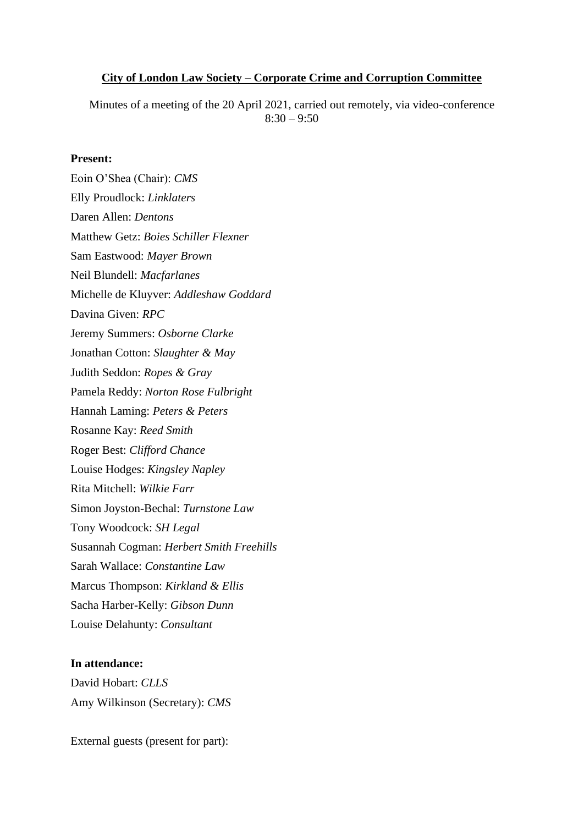#### **City of London Law Society – Corporate Crime and Corruption Committee**

Minutes of a meeting of the 20 April 2021, carried out remotely, via video-conference  $8:30 - 9:50$ 

#### **Present:**

Eoin O'Shea (Chair): *CMS* Elly Proudlock: *Linklaters* Daren Allen: *Dentons* Matthew Getz: *Boies Schiller Flexner* Sam Eastwood: *Mayer Brown* Neil Blundell: *Macfarlanes* Michelle de Kluyver: *Addleshaw Goddard* Davina Given: *RPC* Jeremy Summers: *Osborne Clarke* Jonathan Cotton: *Slaughter & May* Judith Seddon: *Ropes & Gray* Pamela Reddy: *Norton Rose Fulbright* Hannah Laming: *Peters & Peters* Rosanne Kay: *Reed Smith* Roger Best: *Clifford Chance* Louise Hodges: *Kingsley Napley* Rita Mitchell: *Wilkie Farr* Simon Joyston-Bechal: *Turnstone Law* Tony Woodcock: *SH Legal* Susannah Cogman: *Herbert Smith Freehills* Sarah Wallace: *Constantine Law* Marcus Thompson: *Kirkland & Ellis* Sacha Harber-Kelly: *Gibson Dunn* Louise Delahunty: *Consultant*

#### **In attendance:**

David Hobart: *CLLS* Amy Wilkinson (Secretary): *CMS*

External guests (present for part):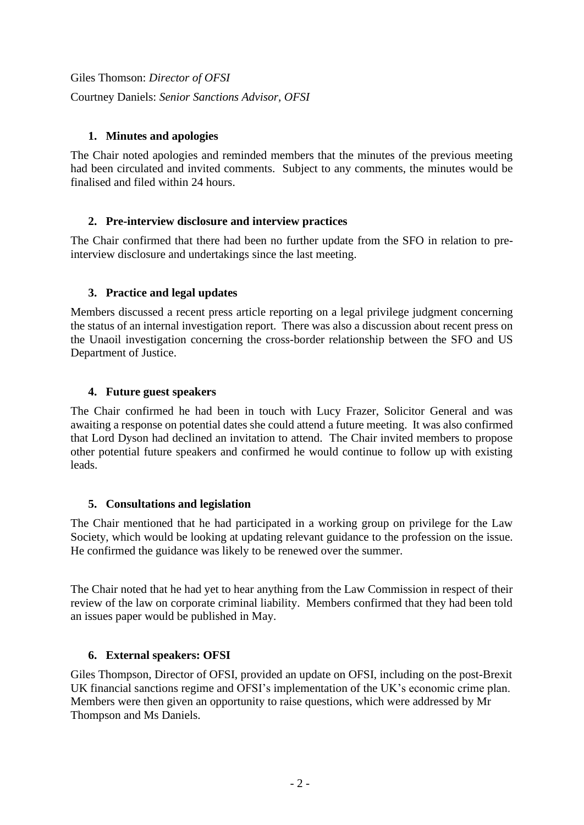Giles Thomson: *Director of OFSI* Courtney Daniels: *Senior Sanctions Advisor, OFSI*

## **1. Minutes and apologies**

The Chair noted apologies and reminded members that the minutes of the previous meeting had been circulated and invited comments. Subject to any comments, the minutes would be finalised and filed within 24 hours.

### **2. Pre-interview disclosure and interview practices**

The Chair confirmed that there had been no further update from the SFO in relation to preinterview disclosure and undertakings since the last meeting.

### **3. Practice and legal updates**

Members discussed a recent press article reporting on a legal privilege judgment concerning the status of an internal investigation report. There was also a discussion about recent press on the Unaoil investigation concerning the cross-border relationship between the SFO and US Department of Justice.

### **4. Future guest speakers**

The Chair confirmed he had been in touch with Lucy Frazer, Solicitor General and was awaiting a response on potential dates she could attend a future meeting. It was also confirmed that Lord Dyson had declined an invitation to attend. The Chair invited members to propose other potential future speakers and confirmed he would continue to follow up with existing leads.

#### **5. Consultations and legislation**

The Chair mentioned that he had participated in a working group on privilege for the Law Society, which would be looking at updating relevant guidance to the profession on the issue. He confirmed the guidance was likely to be renewed over the summer.

The Chair noted that he had yet to hear anything from the Law Commission in respect of their review of the law on corporate criminal liability. Members confirmed that they had been told an issues paper would be published in May.

# **6. External speakers: OFSI**

Giles Thompson, Director of OFSI, provided an update on OFSI, including on the post-Brexit UK financial sanctions regime and OFSI's implementation of the UK's economic crime plan. Members were then given an opportunity to raise questions, which were addressed by Mr Thompson and Ms Daniels.